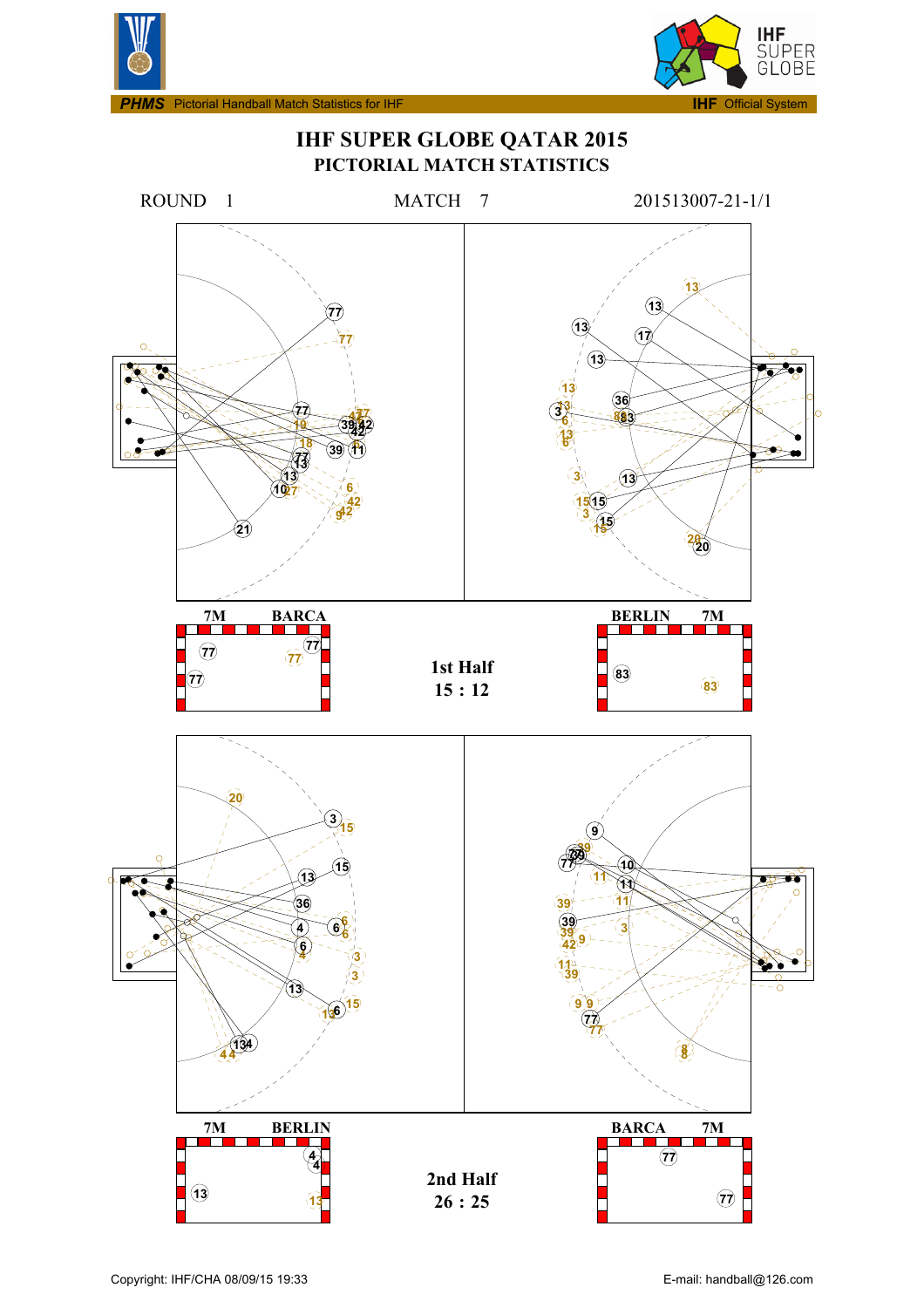



**IHF SUPER GLOBE QATAR 2015 PICTORIAL MATCH STATISTICS**

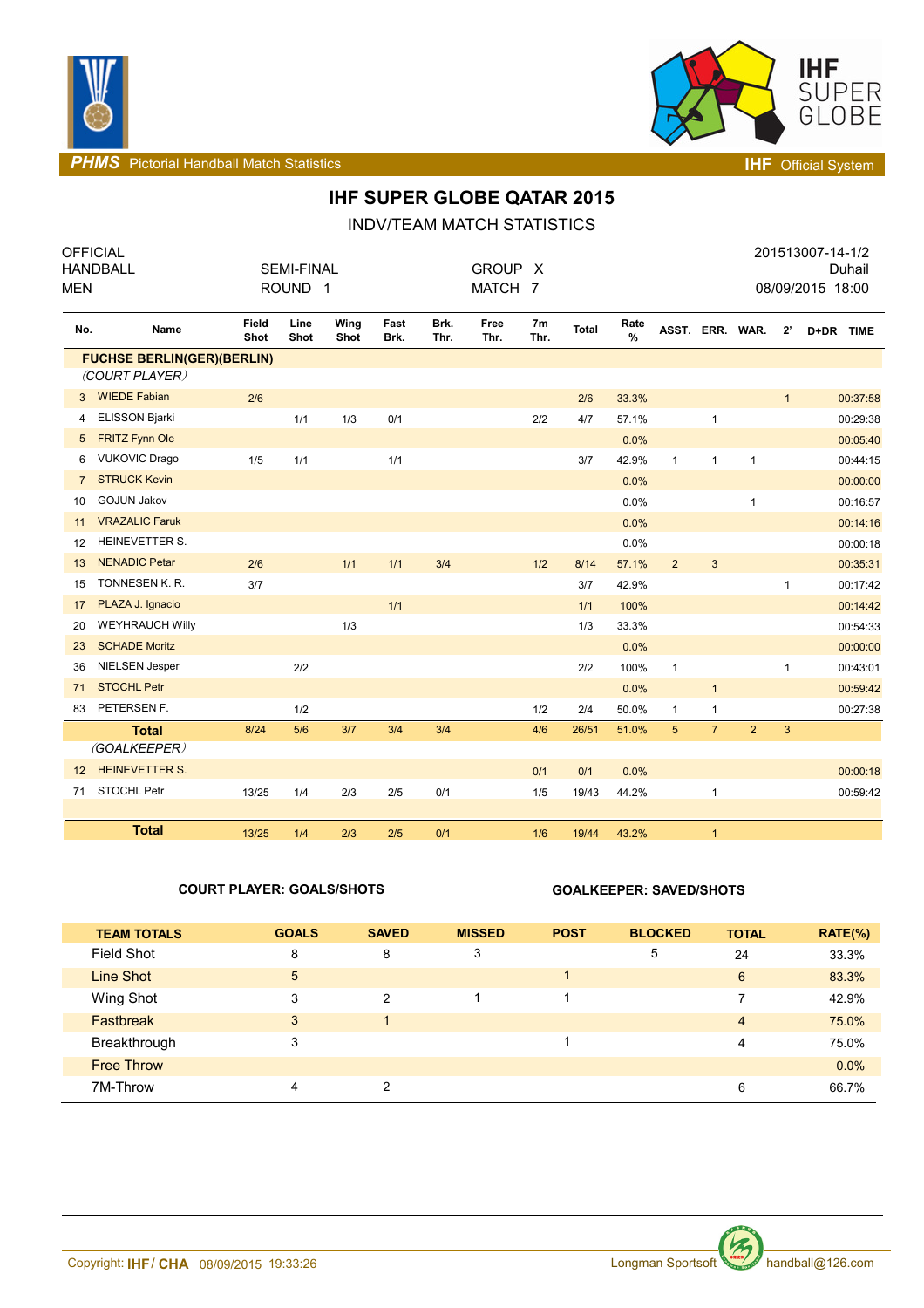



**PHMS** Pictorial Handball Match Statistics **INF** Official System

# **IHF SUPER GLOBE QATAR 2015**

INDV/TEAM MATCH STATISTICS

| <b>MEN</b>     | <b>OFFICIAL</b><br><b>HANDBALL</b>                  |                      | <b>SEMI-FINAL</b><br>ROUND <sub>1</sub> |              |              |              | <b>GROUP</b><br>MATCH 7 | $\times$               |       |              |                |                 |                |              | 201513007-14-1/2<br>08/09/2015 18:00 | Duhail   |
|----------------|-----------------------------------------------------|----------------------|-----------------------------------------|--------------|--------------|--------------|-------------------------|------------------------|-------|--------------|----------------|-----------------|----------------|--------------|--------------------------------------|----------|
| No.            | Name                                                | <b>Field</b><br>Shot | Line<br>Shot                            | Wing<br>Shot | Fast<br>Brk. | Brk.<br>Thr. | Free<br>Thr.            | 7 <sub>m</sub><br>Thr. | Total | Rate<br>$\%$ |                | ASST. ERR. WAR. |                | $2^{\prime}$ | D+DR TIME                            |          |
|                | <b>FUCHSE BERLIN(GER)(BERLIN)</b><br>(COURT PLAYER) |                      |                                         |              |              |              |                         |                        |       |              |                |                 |                |              |                                      |          |
| 3              | <b>WIEDE Fabian</b>                                 | 2/6                  |                                         |              |              |              |                         |                        | 2/6   | 33.3%        |                |                 |                | $\mathbf{1}$ |                                      | 00:37:58 |
| 4              | <b>ELISSON Bjarki</b>                               |                      | 1/1                                     | 1/3          | 0/1          |              |                         | 2/2                    | 4/7   | 57.1%        |                | $\mathbf{1}$    |                |              |                                      | 00:29:38 |
| 5              | <b>FRITZ Fynn Ole</b>                               |                      |                                         |              |              |              |                         |                        |       | 0.0%         |                |                 |                |              |                                      | 00:05:40 |
| 6              | <b>VUKOVIC Drago</b>                                | 1/5                  | 1/1                                     |              | 1/1          |              |                         |                        | 3/7   | 42.9%        | $\mathbf{1}$   | $\mathbf{1}$    | $\mathbf{1}$   |              |                                      | 00:44:15 |
| $\overline{7}$ | <b>STRUCK Kevin</b>                                 |                      |                                         |              |              |              |                         |                        |       | 0.0%         |                |                 |                |              |                                      | 00:00:00 |
| 10             | <b>GOJUN Jakov</b>                                  |                      |                                         |              |              |              |                         |                        |       | 0.0%         |                |                 | $\mathbf{1}$   |              |                                      | 00:16:57 |
| 11             | <b>VRAZALIC Faruk</b>                               |                      |                                         |              |              |              |                         |                        |       | 0.0%         |                |                 |                |              |                                      | 00:14:16 |
| 12             | HEINEVETTER S.                                      |                      |                                         |              |              |              |                         |                        |       | 0.0%         |                |                 |                |              |                                      | 00:00:18 |
| 13             | <b>NENADIC Petar</b>                                | 2/6                  |                                         | 1/1          | 1/1          | 3/4          |                         | 1/2                    | 8/14  | 57.1%        | $\overline{2}$ | $\mathbf{3}$    |                |              |                                      | 00:35:31 |
| 15             | TONNESEN K. R.                                      | 3/7                  |                                         |              |              |              |                         |                        | 3/7   | 42.9%        |                |                 |                | $\mathbf{1}$ |                                      | 00:17:42 |
| 17             | PLAZA J. Ignacio                                    |                      |                                         |              | 1/1          |              |                         |                        | 1/1   | 100%         |                |                 |                |              |                                      | 00:14:42 |
| 20             | <b>WEYHRAUCH Willy</b>                              |                      |                                         | 1/3          |              |              |                         |                        | 1/3   | 33.3%        |                |                 |                |              |                                      | 00:54:33 |
| 23             | <b>SCHADE Moritz</b>                                |                      |                                         |              |              |              |                         |                        |       | 0.0%         |                |                 |                |              |                                      | 00:00:00 |
| 36             | <b>NIELSEN Jesper</b>                               |                      | 2/2                                     |              |              |              |                         |                        | 2/2   | 100%         | $\mathbf{1}$   |                 |                | 1            |                                      | 00:43:01 |
| 71             | <b>STOCHL Petr</b>                                  |                      |                                         |              |              |              |                         |                        |       | 0.0%         |                | $\mathbf{1}$    |                |              |                                      | 00:59:42 |
| 83             | PETERSEN F.                                         |                      | 1/2                                     |              |              |              |                         | 1/2                    | 2/4   | 50.0%        | 1              | 1               |                |              |                                      | 00:27:38 |
|                | <b>Total</b>                                        | 8/24                 | 5/6                                     | 3/7          | 3/4          | 3/4          |                         | 4/6                    | 26/51 | 51.0%        | 5              | $\overline{7}$  | $\overline{2}$ | $\mathbf{3}$ |                                      |          |
|                | (GOALKEEPER)                                        |                      |                                         |              |              |              |                         |                        |       |              |                |                 |                |              |                                      |          |
| 12             | <b>HEINEVETTER S.</b>                               |                      |                                         |              |              |              |                         | 0/1                    | 0/1   | 0.0%         |                |                 |                |              |                                      | 00:00:18 |
| 71             | STOCHL Petr                                         | 13/25                | 1/4                                     | 2/3          | $2/5$        | 0/1          |                         | 1/5                    | 19/43 | 44.2%        |                | 1               |                |              |                                      | 00:59:42 |
|                | <b>Total</b>                                        | 13/25                | 1/4                                     | 2/3          | 2/5          | 0/1          |                         | 1/6                    | 19/44 | 43.2%        |                | $\mathbf{1}$    |                |              |                                      |          |

### **COURT PLAYER: GOALS/SHOTS GOALKEEPER: SAVED/SHOTS**

| <b>TEAM TOTALS</b> | <b>GOALS</b> | <b>SAVED</b> | <b>MISSED</b> | <b>POST</b> | <b>BLOCKED</b> | <b>TOTAL</b>   | $RATE(\%)$ |
|--------------------|--------------|--------------|---------------|-------------|----------------|----------------|------------|
| Field Shot         | 8            | 8            | 3             |             | 5              | 24             | 33.3%      |
| Line Shot          | 5            |              |               |             |                | 6              | 83.3%      |
| Wing Shot          | 3            | 2            |               |             |                |                | 42.9%      |
| <b>Fastbreak</b>   | 3            |              |               |             |                | $\overline{4}$ | 75.0%      |
| Breakthrough       | 3            |              |               |             |                | 4              | 75.0%      |
| <b>Free Throw</b>  |              |              |               |             |                |                | 0.0%       |
| 7M-Throw           | 4            | っ            |               |             |                | 6              | 66.7%      |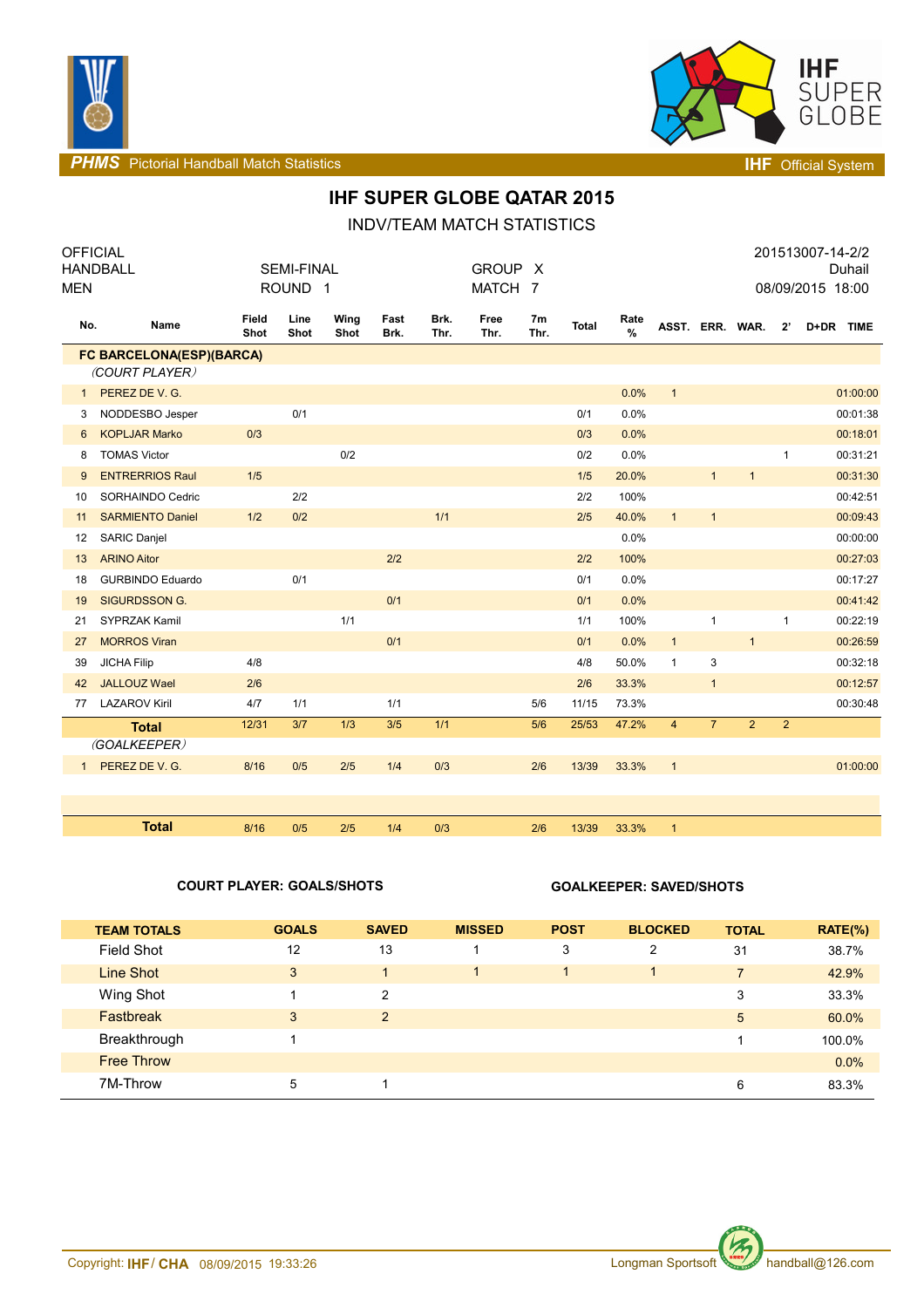



**PHMS** Pictorial Handball Match Statistics **Intervalse and Contract Contract Contract Contract Contract Contract Contract Contract Contract Contract Contract Contract Contract Contract Contract Contract Contract Contract C** 

# **IHF SUPER GLOBE QATAR 2015**

INDV/TEAM MATCH STATISTICS

| <b>OFFICIAL</b><br><b>MEN</b> | <b>HANDBALL</b>          |               | <b>SEMI-FINAL</b><br>ROUND <sub>1</sub> |              |              |              | <b>GROUP</b><br>MATCH 7 | X.                     |              |                       |                 |                |                |                | 201513007-14-2/2<br>Duhail<br>08/09/2015 18:00 |
|-------------------------------|--------------------------|---------------|-----------------------------------------|--------------|--------------|--------------|-------------------------|------------------------|--------------|-----------------------|-----------------|----------------|----------------|----------------|------------------------------------------------|
| No.                           | Name                     | Field<br>Shot | Line<br>Shot                            | Wing<br>Shot | Fast<br>Brk. | Brk.<br>Thr. | Free<br>Thr.            | 7 <sub>m</sub><br>Thr. | <b>Total</b> | Rate<br>$\frac{0}{0}$ | ASST. ERR. WAR. |                |                | $2^{\prime}$   | D+DR TIME                                      |
|                               | FC BARCELONA(ESP)(BARCA) |               |                                         |              |              |              |                         |                        |              |                       |                 |                |                |                |                                                |
|                               | (COURT PLAYER)           |               |                                         |              |              |              |                         |                        |              |                       |                 |                |                |                |                                                |
| $\mathbf{1}$                  | PEREZ DE V. G.           |               |                                         |              |              |              |                         |                        |              | 0.0%                  | $\mathbf{1}$    |                |                |                | 01:00:00                                       |
| 3                             | NODDESBO Jesper          |               | 0/1                                     |              |              |              |                         |                        | 0/1          | 0.0%                  |                 |                |                |                | 00:01:38                                       |
| 6                             | <b>KOPLJAR Marko</b>     | 0/3           |                                         |              |              |              |                         |                        | 0/3          | 0.0%                  |                 |                |                |                | 00:18:01                                       |
| 8                             | <b>TOMAS Victor</b>      |               |                                         | 0/2          |              |              |                         |                        | 0/2          | 0.0%                  |                 |                |                | $\mathbf{1}$   | 00:31:21                                       |
| 9                             | <b>ENTRERRIOS Raul</b>   | 1/5           |                                         |              |              |              |                         |                        | 1/5          | 20.0%                 |                 | $\mathbf{1}$   | $\mathbf{1}$   |                | 00:31:30                                       |
| 10                            | SORHAINDO Cedric         |               | 2/2                                     |              |              |              |                         |                        | 2/2          | 100%                  |                 |                |                |                | 00:42:51                                       |
| 11                            | <b>SARMIENTO Daniel</b>  | 1/2           | 0/2                                     |              |              | 1/1          |                         |                        | 2/5          | 40.0%                 | $\mathbf{1}$    | $\mathbf{1}$   |                |                | 00:09:43                                       |
| 12                            | <b>SARIC Daniel</b>      |               |                                         |              |              |              |                         |                        |              | 0.0%                  |                 |                |                |                | 00:00:00                                       |
| 13                            | <b>ARINO Aitor</b>       |               |                                         |              | 2/2          |              |                         |                        | 2/2          | 100%                  |                 |                |                |                | 00:27:03                                       |
| 18                            | <b>GURBINDO Eduardo</b>  |               | 0/1                                     |              |              |              |                         |                        | 0/1          | 0.0%                  |                 |                |                |                | 00:17:27                                       |
| 19                            | <b>SIGURDSSON G.</b>     |               |                                         |              | 0/1          |              |                         |                        | 0/1          | 0.0%                  |                 |                |                |                | 00:41:42                                       |
| 21                            | SYPRZAK Kamil            |               |                                         | 1/1          |              |              |                         |                        | 1/1          | 100%                  |                 | $\mathbf{1}$   |                | $\mathbf{1}$   | 00:22:19                                       |
| 27                            | <b>MORROS Viran</b>      |               |                                         |              | 0/1          |              |                         |                        | 0/1          | 0.0%                  | $\mathbf{1}$    |                | $\mathbf{1}$   |                | 00:26:59                                       |
| 39                            | <b>JICHA Filip</b>       | 4/8           |                                         |              |              |              |                         |                        | 4/8          | 50.0%                 | $\mathbf{1}$    | 3              |                |                | 00:32:18                                       |
| 42                            | <b>JALLOUZ Wael</b>      | 2/6           |                                         |              |              |              |                         |                        | 2/6          | 33.3%                 |                 | $\mathbf{1}$   |                |                | 00:12:57                                       |
| 77                            | <b>LAZAROV Kiril</b>     | 4/7           | 1/1                                     |              | 1/1          |              |                         | 5/6                    | 11/15        | 73.3%                 |                 |                |                |                | 00:30:48                                       |
|                               | <b>Total</b>             | 12/31         | 3/7                                     | 1/3          | 3/5          | 1/1          |                         | 5/6                    | 25/53        | 47.2%                 | $\overline{4}$  | $\overline{7}$ | $\overline{2}$ | $\overline{2}$ |                                                |
|                               | (GOALKEEPER)             |               |                                         |              |              |              |                         |                        |              |                       |                 |                |                |                |                                                |
| 1                             | PEREZ DE V. G.           | 8/16          | 0/5                                     | 2/5          | 1/4          | 0/3          |                         | 2/6                    | 13/39        | 33.3%                 | $\mathbf{1}$    |                |                |                | 01:00:00                                       |
|                               |                          |               |                                         |              |              |              |                         |                        |              |                       |                 |                |                |                |                                                |
|                               |                          |               |                                         |              |              |              |                         |                        |              |                       |                 |                |                |                |                                                |
|                               | <b>Total</b>             | 8/16          | 0/5                                     | 2/5          | 1/4          | 0/3          |                         | 2/6                    | 13/39        | 33.3%                 | $\mathbf{1}$    |                |                |                |                                                |

### **COURT PLAYER: GOALS/SHOTS GOALKEEPER: SAVED/SHOTS**

| <b>TEAM TOTALS</b> | <b>GOALS</b> | <b>SAVED</b>   | <b>MISSED</b> | <b>POST</b> | <b>BLOCKED</b> | <b>TOTAL</b>   | $RATE(\%)$ |
|--------------------|--------------|----------------|---------------|-------------|----------------|----------------|------------|
| <b>Field Shot</b>  | 12           | 13             |               | 3           | 2              | 31             | 38.7%      |
| Line Shot          | 3            | 4              |               |             | 4.             | 7 <sup>1</sup> | 42.9%      |
| Wing Shot          |              | $\overline{2}$ |               |             |                | 3              | 33.3%      |
| Fastbreak          | 3            | 2              |               |             |                | 5              | 60.0%      |
| Breakthrough       |              |                |               |             |                |                | 100.0%     |
| <b>Free Throw</b>  |              |                |               |             |                |                | 0.0%       |
| 7M-Throw           | 5            |                |               |             |                | 6              | 83.3%      |